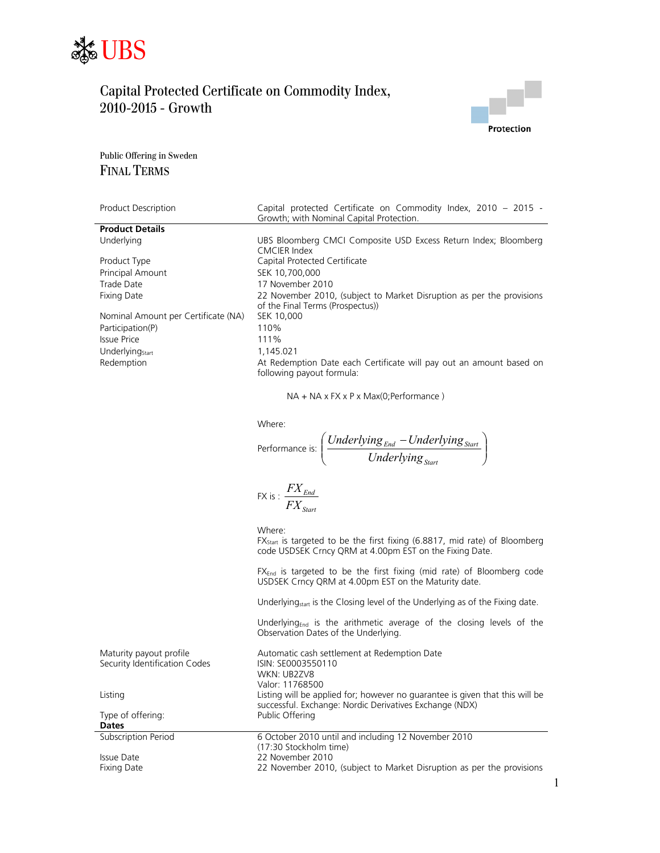



Public Offering in Sweden FINAL TERMS

| <b>Product Description</b>          | Capital protected Certificate on Commodity Index, 2010 - 2015 -       |
|-------------------------------------|-----------------------------------------------------------------------|
|                                     | Growth: with Nominal Capital Protection.                              |
| <b>Product Details</b>              |                                                                       |
| Underlying                          | UBS Bloomberg CMCI Composite USD Excess Return Index; Bloomberg       |
|                                     | CMCIER Index                                                          |
| Product Type                        | Capital Protected Certificate                                         |
| <b>Principal Amount</b>             | SEK 10,700,000                                                        |
| Trade Date                          | 17 November 2010                                                      |
| Fixing Date                         | 22 November 2010, (subject to Market Disruption as per the provisions |
|                                     | of the Final Terms (Prospectus))                                      |
| Nominal Amount per Certificate (NA) | SEK 10,000                                                            |
| Participation(P)                    | 110%                                                                  |
| <b>Issue Price</b>                  | 111%                                                                  |
| Underlying <sub>Start</sub>         | 1.145.021                                                             |
| Redemption                          | At Redemption Date each Certificate will pay out an amount based on   |
|                                     | following payout formula:                                             |
|                                     |                                                                       |

NA + NA x FX x P x Max(0;Performance )

| Where:          |                                              |
|-----------------|----------------------------------------------|
| Performance is: | $\int Underlying_{End} - Underlying_{Start}$ |
|                 | Underlying <sub>Start</sub>                  |

$$
\text{FX is: } \frac{FX_{\text{End}}}{FX_{\text{Start}}}
$$

Where:

FX<sub>Start</sub> is targeted to be the first fixing (6.8817, mid rate) of Bloomberg code USDSEK Crncy QRM at 4.00pm EST on the Fixing Date.

FXEnd is targeted to be the first fixing (mid rate) of Bloomberg code USDSEK Crncy QRM at 4.00pm EST on the Maturity date.

Underlying<sub>start</sub> is the Closing level of the Underlying as of the Fixing date.

Underlying $_{End}$  is the arithmetic average of the closing levels of the Observation Dates of the Underlying.

| Maturity payout profile       | Automatic cash settlement at Redemption Date                                                                                            |
|-------------------------------|-----------------------------------------------------------------------------------------------------------------------------------------|
| Security Identification Codes | ISIN: SE0003550110                                                                                                                      |
|                               | <b>WKN: UB27V8</b>                                                                                                                      |
|                               | Valor: 11768500                                                                                                                         |
| Listing                       | Listing will be applied for; however no guarantee is given that this will be<br>successful. Exchange: Nordic Derivatives Exchange (NDX) |
| Type of offering:             | Public Offering                                                                                                                         |
| <b>Dates</b>                  |                                                                                                                                         |
| Subscription Period           | 6 October 2010 until and including 12 November 2010                                                                                     |
|                               | (17:30 Stockholm time)                                                                                                                  |
| Issue Date                    | 22 November 2010                                                                                                                        |
| Fixing Date                   | 22 November 2010, (subject to Market Disruption as per the provisions                                                                   |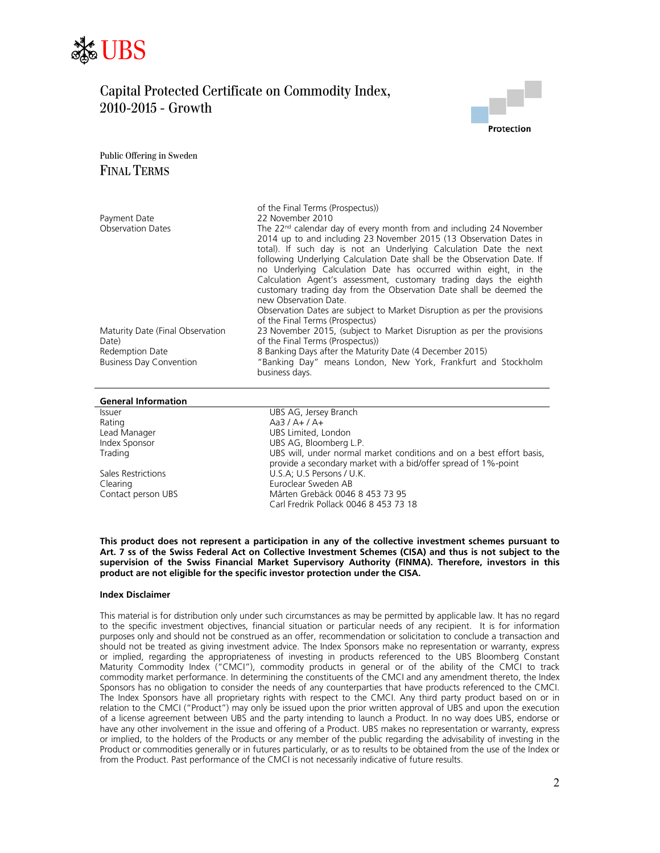



Public Offering in Sweden FINAL TERMS

|                                                   | of the Final Terms (Prospectus))                                                                                                                                                                                                                                                                                                                                                                                                                                                                                                      |
|---------------------------------------------------|---------------------------------------------------------------------------------------------------------------------------------------------------------------------------------------------------------------------------------------------------------------------------------------------------------------------------------------------------------------------------------------------------------------------------------------------------------------------------------------------------------------------------------------|
| Payment Date                                      | 22 November 2010                                                                                                                                                                                                                                                                                                                                                                                                                                                                                                                      |
| <b>Observation Dates</b>                          | The $22nd$ calendar day of every month from and including 24 November<br>2014 up to and including 23 November 2015 (13 Observation Dates in<br>total). If such day is not an Underlying Calculation Date the next<br>following Underlying Calculation Date shall be the Observation Date. If<br>no Underlying Calculation Date has occurred within eight, in the<br>Calculation Agent's assessment, customary trading days the eighth<br>customary trading day from the Observation Date shall be deemed the<br>new Observation Date. |
|                                                   | Observation Dates are subject to Market Disruption as per the provisions<br>of the Final Terms (Prospectus)                                                                                                                                                                                                                                                                                                                                                                                                                           |
| Maturity Date (Final Observation<br>Date)         | 23 November 2015, (subject to Market Disruption as per the provisions<br>of the Final Terms (Prospectus))                                                                                                                                                                                                                                                                                                                                                                                                                             |
| Redemption Date<br><b>Business Day Convention</b> | 8 Banking Days after the Maturity Date (4 December 2015)<br>"Banking Day" means London, New York, Frankfurt and Stockholm<br>business days.                                                                                                                                                                                                                                                                                                                                                                                           |

#### **General Information**

| <b>Issuer</b>      | UBS AG, Jersey Branch                                                                                                                  |
|--------------------|----------------------------------------------------------------------------------------------------------------------------------------|
| Rating             | Aa3 / A+ / A+                                                                                                                          |
| Lead Manager       | UBS Limited, London                                                                                                                    |
| Index Sponsor      | UBS AG, Bloomberg L.P.                                                                                                                 |
| Trading            | UBS will, under normal market conditions and on a best effort basis,<br>provide a secondary market with a bid/offer spread of 1%-point |
| Sales Restrictions | U.S.A; U.S Persons / U.K.                                                                                                              |
| Clearing           | Euroclear Sweden AB                                                                                                                    |
| Contact person UBS | Mårten Grebäck 0046 8 453 73 95                                                                                                        |
|                    | Carl Fredrik Pollack 0046 8 453 73 18                                                                                                  |
|                    |                                                                                                                                        |

**This product does not represent a participation in any of the collective investment schemes pursuant to Art. 7 ss of the Swiss Federal Act on Collective Investment Schemes (CISA) and thus is not subject to the supervision of the Swiss Financial Market Supervisory Authority (FINMA). Therefore, investors in this product are not eligible for the specific investor protection under the CISA.** 

### **Index Disclaimer**

This material is for distribution only under such circumstances as may be permitted by applicable law. It has no regard to the specific investment objectives, financial situation or particular needs of any recipient. It is for information purposes only and should not be construed as an offer, recommendation or solicitation to conclude a transaction and should not be treated as giving investment advice. The Index Sponsors make no representation or warranty, express or implied, regarding the appropriateness of investing in products referenced to the UBS Bloomberg Constant Maturity Commodity Index ("CMCI"), commodity products in general or of the ability of the CMCI to track commodity market performance. In determining the constituents of the CMCI and any amendment thereto, the Index Sponsors has no obligation to consider the needs of any counterparties that have products referenced to the CMCI. The Index Sponsors have all proprietary rights with respect to the CMCI. Any third party product based on or in relation to the CMCI ("Product") may only be issued upon the prior written approval of UBS and upon the execution of a license agreement between UBS and the party intending to launch a Product. In no way does UBS, endorse or have any other involvement in the issue and offering of a Product. UBS makes no representation or warranty, express or implied, to the holders of the Products or any member of the public regarding the advisability of investing in the Product or commodities generally or in futures particularly, or as to results to be obtained from the use of the Index or from the Product. Past performance of the CMCI is not necessarily indicative of future results.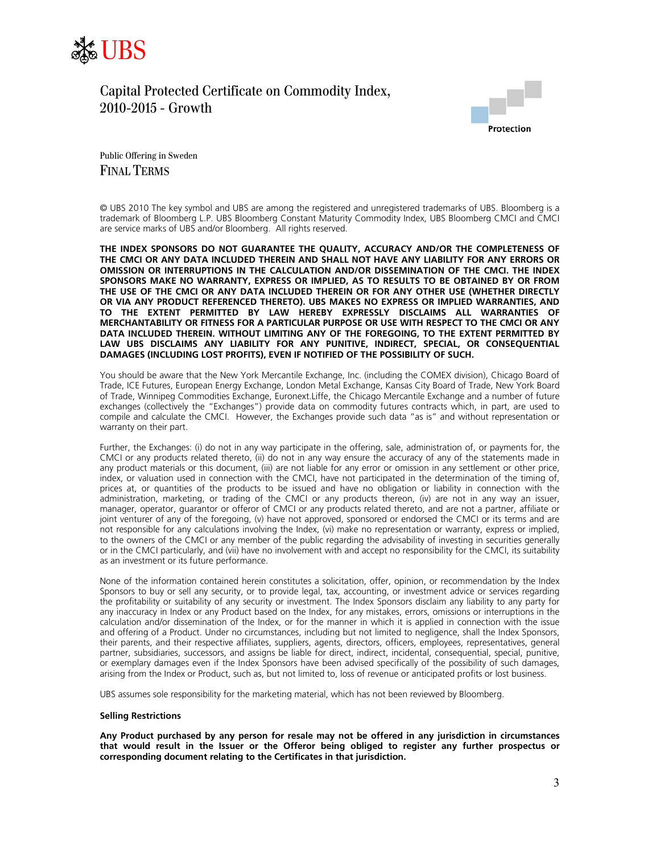



Public Offering in Sweden FINAL TERMS

© UBS 2010 The key symbol and UBS are among the registered and unregistered trademarks of UBS. Bloomberg is a trademark of Bloomberg L.P. UBS Bloomberg Constant Maturity Commodity Index, UBS Bloomberg CMCI and CMCI are service marks of UBS and/or Bloomberg. All rights reserved.

**THE INDEX SPONSORS DO NOT GUARANTEE THE QUALITY, ACCURACY AND/OR THE COMPLETENESS OF THE CMCI OR ANY DATA INCLUDED THEREIN AND SHALL NOT HAVE ANY LIABILITY FOR ANY ERRORS OR OMISSION OR INTERRUPTIONS IN THE CALCULATION AND/OR DISSEMINATION OF THE CMCI. THE INDEX SPONSORS MAKE NO WARRANTY, EXPRESS OR IMPLIED, AS TO RESULTS TO BE OBTAINED BY OR FROM THE USE OF THE CMCI OR ANY DATA INCLUDED THEREIN OR FOR ANY OTHER USE (WHETHER DIRECTLY OR VIA ANY PRODUCT REFERENCED THERETO). UBS MAKES NO EXPRESS OR IMPLIED WARRANTIES, AND TO THE EXTENT PERMITTED BY LAW HEREBY EXPRESSLY DISCLAIMS ALL WARRANTIES OF MERCHANTABILITY OR FITNESS FOR A PARTICULAR PURPOSE OR USE WITH RESPECT TO THE CMCI OR ANY DATA INCLUDED THEREIN. WITHOUT LIMITING ANY OF THE FOREGOING, TO THE EXTENT PERMITTED BY LAW UBS DISCLAIMS ANY LIABILITY FOR ANY PUNITIVE, INDIRECT, SPECIAL, OR CONSEQUENTIAL DAMAGES (INCLUDING LOST PROFITS), EVEN IF NOTIFIED OF THE POSSIBILITY OF SUCH.** 

You should be aware that the New York Mercantile Exchange, Inc. (including the COMEX division), Chicago Board of Trade, ICE Futures, European Energy Exchange, London Metal Exchange, Kansas City Board of Trade, New York Board of Trade, Winnipeg Commodities Exchange, Euronext.Liffe, the Chicago Mercantile Exchange and a number of future exchanges (collectively the "Exchanges") provide data on commodity futures contracts which, in part, are used to compile and calculate the CMCI. However, the Exchanges provide such data "as is" and without representation or warranty on their part.

Further, the Exchanges: (i) do not in any way participate in the offering, sale, administration of, or payments for, the CMCI or any products related thereto, (ii) do not in any way ensure the accuracy of any of the statements made in any product materials or this document, (iii) are not liable for any error or omission in any settlement or other price, index, or valuation used in connection with the CMCI, have not participated in the determination of the timing of, prices at, or quantities of the products to be issued and have no obligation or liability in connection with the administration, marketing, or trading of the CMCI or any products thereon, (iv) are not in any way an issuer, manager, operator, guarantor or offeror of CMCI or any products related thereto, and are not a partner, affiliate or joint venturer of any of the foregoing, (v) have not approved, sponsored or endorsed the CMCI or its terms and are not responsible for any calculations involving the Index, (vi) make no representation or warranty, express or implied, to the owners of the CMCI or any member of the public regarding the advisability of investing in securities generally or in the CMCI particularly, and (vii) have no involvement with and accept no responsibility for the CMCI, its suitability as an investment or its future performance.

None of the information contained herein constitutes a solicitation, offer, opinion, or recommendation by the Index Sponsors to buy or sell any security, or to provide legal, tax, accounting, or investment advice or services regarding the profitability or suitability of any security or investment. The Index Sponsors disclaim any liability to any party for any inaccuracy in Index or any Product based on the Index, for any mistakes, errors, omissions or interruptions in the calculation and/or dissemination of the Index, or for the manner in which it is applied in connection with the issue and offering of a Product. Under no circumstances, including but not limited to negligence, shall the Index Sponsors, their parents, and their respective affiliates, suppliers, agents, directors, officers, employees, representatives, general partner, subsidiaries, successors, and assigns be liable for direct, indirect, incidental, consequential, special, punitive, or exemplary damages even if the Index Sponsors have been advised specifically of the possibility of such damages, arising from the Index or Product, such as, but not limited to, loss of revenue or anticipated profits or lost business.

UBS assumes sole responsibility for the marketing material, which has not been reviewed by Bloomberg.

### **Selling Restrictions**

**Any Product purchased by any person for resale may not be offered in any jurisdiction in circumstances that would result in the Issuer or the Offeror being obliged to register any further prospectus or corresponding document relating to the Certificates in that jurisdiction.**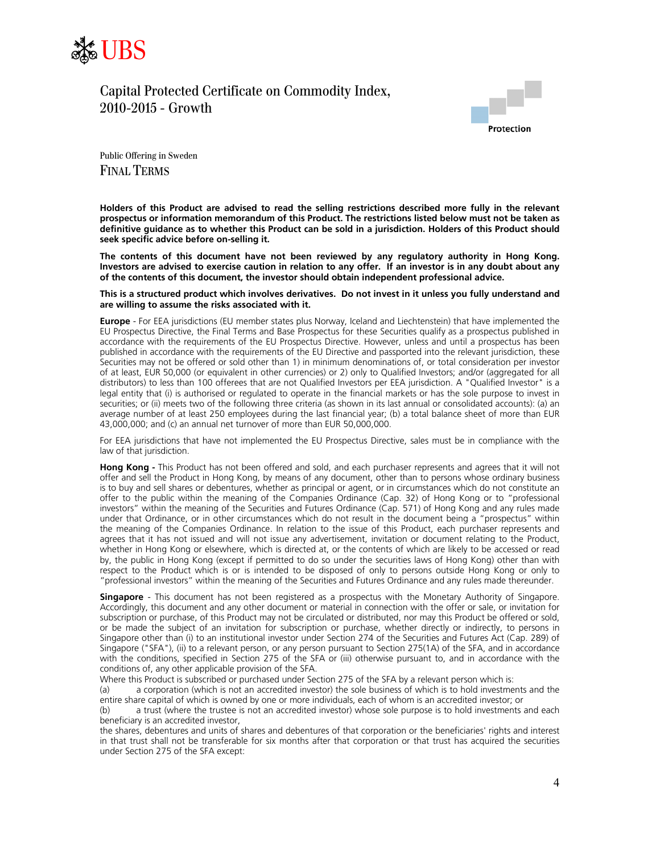



Public Offering in Sweden FINAL TERMS

**Holders of this Product are advised to read the selling restrictions described more fully in the relevant prospectus or information memorandum of this Product. The restrictions listed below must not be taken as definitive guidance as to whether this Product can be sold in a jurisdiction. Holders of this Product should seek specific advice before on-selling it.** 

**The contents of this document have not been reviewed by any regulatory authority in Hong Kong. Investors are advised to exercise caution in relation to any offer. If an investor is in any doubt about any of the contents of this document, the investor should obtain independent professional advice.** 

**This is a structured product which involves derivatives. Do not invest in it unless you fully understand and are willing to assume the risks associated with it.** 

**Europe** - For EEA jurisdictions (EU member states plus Norway, Iceland and Liechtenstein) that have implemented the EU Prospectus Directive, the Final Terms and Base Prospectus for these Securities qualify as a prospectus published in accordance with the requirements of the EU Prospectus Directive. However, unless and until a prospectus has been published in accordance with the requirements of the EU Directive and passported into the relevant jurisdiction, these Securities may not be offered or sold other than 1) in minimum denominations of, or total consideration per investor of at least, EUR 50,000 (or equivalent in other currencies) or 2) only to Qualified Investors; and/or (aggregated for all distributors) to less than 100 offerees that are not Qualified Investors per EEA jurisdiction. A "Qualified Investor" is a legal entity that (i) is authorised or regulated to operate in the financial markets or has the sole purpose to invest in securities; or (ii) meets two of the following three criteria (as shown in its last annual or consolidated accounts): (a) an average number of at least 250 employees during the last financial year; (b) a total balance sheet of more than EUR 43,000,000; and (c) an annual net turnover of more than EUR 50,000,000.

For EEA jurisdictions that have not implemented the EU Prospectus Directive, sales must be in compliance with the law of that jurisdiction.

**Hong Kong -** This Product has not been offered and sold, and each purchaser represents and agrees that it will not offer and sell the Product in Hong Kong, by means of any document, other than to persons whose ordinary business is to buy and sell shares or debentures, whether as principal or agent, or in circumstances which do not constitute an offer to the public within the meaning of the Companies Ordinance (Cap. 32) of Hong Kong or to "professional investors" within the meaning of the Securities and Futures Ordinance (Cap. 571) of Hong Kong and any rules made under that Ordinance, or in other circumstances which do not result in the document being a "prospectus" within the meaning of the Companies Ordinance. In relation to the issue of this Product, each purchaser represents and agrees that it has not issued and will not issue any advertisement, invitation or document relating to the Product, whether in Hong Kong or elsewhere, which is directed at, or the contents of which are likely to be accessed or read by, the public in Hong Kong (except if permitted to do so under the securities laws of Hong Kong) other than with respect to the Product which is or is intended to be disposed of only to persons outside Hong Kong or only to "professional investors" within the meaning of the Securities and Futures Ordinance and any rules made thereunder.

**Singapore** - This document has not been registered as a prospectus with the Monetary Authority of Singapore. Accordingly, this document and any other document or material in connection with the offer or sale, or invitation for subscription or purchase, of this Product may not be circulated or distributed, nor may this Product be offered or sold, or be made the subject of an invitation for subscription or purchase, whether directly or indirectly, to persons in Singapore other than (i) to an institutional investor under Section 274 of the Securities and Futures Act (Cap. 289) of Singapore ("SFA"), (ii) to a relevant person, or any person pursuant to Section 275(1A) of the SFA, and in accordance with the conditions, specified in Section 275 of the SFA or (iii) otherwise pursuant to, and in accordance with the conditions of, any other applicable provision of the SFA.

Where this Product is subscribed or purchased under Section 275 of the SFA by a relevant person which is:

(a) a corporation (which is not an accredited investor) the sole business of which is to hold investments and the entire share capital of which is owned by one or more individuals, each of whom is an accredited investor; or

(b) a trust (where the trustee is not an accredited investor) whose sole purpose is to hold investments and each beneficiary is an accredited investor,

the shares, debentures and units of shares and debentures of that corporation or the beneficiaries' rights and interest in that trust shall not be transferable for six months after that corporation or that trust has acquired the securities under Section 275 of the SFA except: